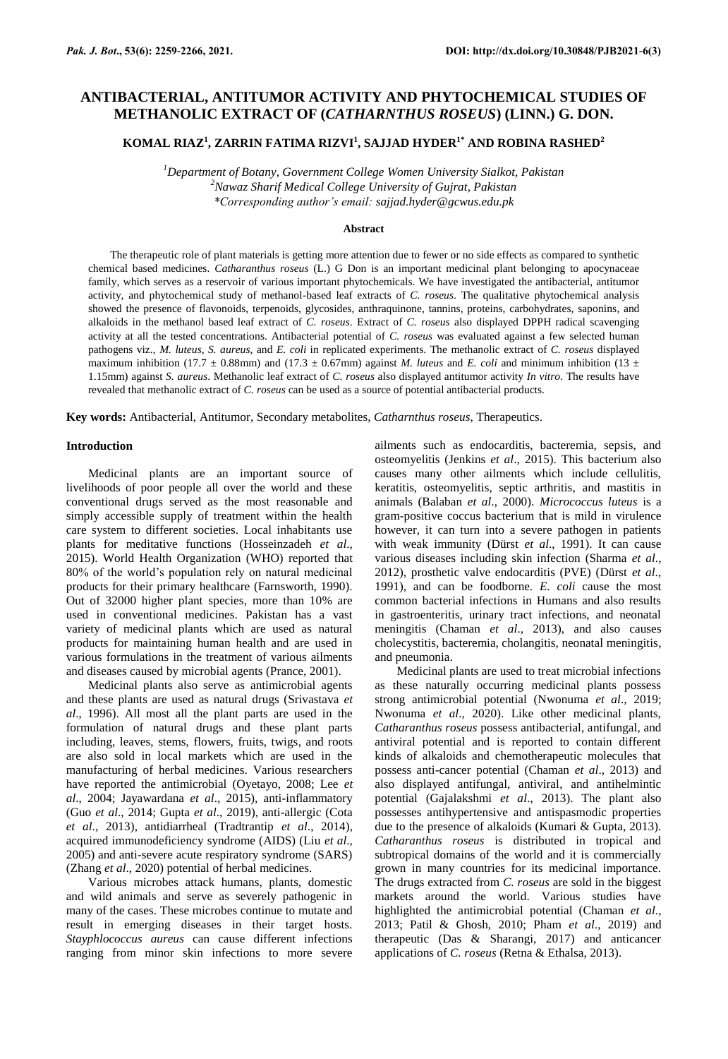# **ANTIBACTERIAL, ANTITUMOR ACTIVITY AND PHYTOCHEMICAL STUDIES OF METHANOLIC EXTRACT OF (***CATHARNTHUS ROSEUS***) (LINN.) G. DON.**

## **KOMAL RIAZ<sup>1</sup> , ZARRIN FATIMA RIZVI<sup>1</sup> , SAJJAD HYDER1\* AND ROBINA RASHED<sup>2</sup>**

*<sup>1</sup>Department of Botany, Government College Women University Sialkot, Pakistan <sup>2</sup>Nawaz Sharif Medical College University of Gujrat, Pakistan \*Corresponding author's email: [sajjad.hyder@gcwus.edu.pk](mailto:sajjad.hyder@gcwus.edu.pk)*

## **Abstract**

The therapeutic role of plant materials is getting more attention due to fewer or no side effects as compared to synthetic chemical based medicines. *Catharanthus roseus* (L.) G Don is an important medicinal plant belonging to apocynaceae family, which serves as a reservoir of various important phytochemicals. We have investigated the antibacterial, antitumor activity, and phytochemical study of methanol-based leaf extracts of *C. roseus*. The qualitative phytochemical analysis showed the presence of flavonoids, terpenoids, glycosides, anthraquinone, tannins, proteins, carbohydrates, saponins, and alkaloids in the methanol based leaf extract of *C. roseus*. Extract of *C. roseus* also displayed DPPH radical scavenging activity at all the tested concentrations. Antibacterial potential of *C. roseus* was evaluated against a few selected human pathogens viz., *M. luteus*, *S. aureus,* and *E. coli* in replicated experiments. The methanolic extract of *C. roseus* displayed maximum inhibition (17.7  $\pm$  0.88mm) and (17.3  $\pm$  0.67mm) against *M. luteus* and *E. coli* and minimum inhibition (13  $\pm$ 1.15mm) against *S. aureus*. Methanolic leaf extract of *C. roseus* also displayed antitumor activity *In vitro*. The results have revealed that methanolic extract of *C. roseus* can be used as a source of potential antibacterial products.

**Key words:** Antibacterial, Antitumor, Secondary metabolites, *Catharnthus roseus*, Therapeutics.

## **Introduction**

Medicinal plants are an important source of livelihoods of poor people all over the world and these conventional drugs served as the most reasonable and simply accessible supply of treatment within the health care system to different societies. Local inhabitants use plants for meditative functions (Hosseinzadeh *et al*., 2015). World Health Organization (WHO) reported that 80% of the world's population rely on natural medicinal products for their primary healthcare (Farnsworth, 1990). Out of 32000 higher plant species, more than 10% are used in conventional medicines. Pakistan has a vast variety of medicinal plants which are used as natural products for maintaining human health and are used in various formulations in the treatment of various ailments and diseases caused by microbial agents (Prance, 2001).

Medicinal plants also serve as antimicrobial agents and these plants are used as natural drugs (Srivastava *et al*., 1996). All most all the plant parts are used in the formulation of natural drugs and these plant parts including, leaves, stems, flowers, fruits, twigs, and roots are also sold in local markets which are used in the manufacturing of herbal medicines. Various researchers have reported the antimicrobial (Oyetayo, 2008; Lee *et al*., 2004; Jayawardana *et al*., 2015), anti-inflammatory (Guo *et al*., 2014; Gupta *et al*., 2019), anti-allergic (Cota *et al*., 2013), antidiarrheal (Tradtrantip *et al*., 2014), acquired immunodeficiency syndrome (AIDS) (Liu *et al*., 2005) and anti-severe acute respiratory syndrome (SARS) (Zhang *et al*., 2020) potential of herbal medicines.

Various microbes attack humans, plants, domestic and wild animals and serve as severely pathogenic in many of the cases. These microbes continue to mutate and result in emerging diseases in their target hosts. *Stayphlococcus aureus* can cause different infections ranging from minor skin infections to more severe

ailments such as endocarditis, bacteremia, sepsis, and osteomyelitis (Jenkins *et al*., 2015). This bacterium also causes many other ailments which include cellulitis, keratitis, osteomyelitis, septic arthritis, and mastitis in animals (Balaban *et al*., 2000). *Micrococcus luteus* is a gram-positive coccus bacterium that is mild in virulence however, it can turn into a severe pathogen in patients with weak immunity (Dürst *et al*., 1991). It can cause various diseases including skin infection (Sharma *et al*., 2012), prosthetic valve endocarditis (PVE) (Dürst *et al*., 1991), and can be foodborne. *E. coli* cause the most common bacterial infections in Humans and also results in gastroenteritis, urinary tract infections, and neonatal meningitis (Chaman *et al*., 2013), and also causes cholecystitis, bacteremia, cholangitis, neonatal meningitis, and pneumonia.

Medicinal plants are used to treat microbial infections as these naturally occurring medicinal plants possess strong antimicrobial potential (Nwonuma *et al*., 2019; Nwonuma *et al*., 2020). Like other medicinal plants, *Catharanthus roseus* possess antibacterial, antifungal, and antiviral potential and is reported to contain different kinds of alkaloids and chemotherapeutic molecules that possess anti-cancer potential (Chaman *et al*., 2013) and also displayed antifungal, antiviral, and antihelmintic potential (Gajalakshmi *et al*., 2013). The plant also possesses antihypertensive and antispasmodic properties due to the presence of alkaloids (Kumari & Gupta, 2013). *Catharanthus roseus* is distributed in tropical and subtropical domains of the world and it is commercially grown in many countries for its medicinal importance. The drugs extracted from *C. roseus* are sold in the biggest markets around the world. Various studies have highlighted the antimicrobial potential (Chaman *et al*., 2013; Patil & Ghosh, 2010; Pham *et al*., 2019) and therapeutic (Das & Sharangi, 2017) and anticancer applications of *C. roseus* (Retna & Ethalsa, 2013).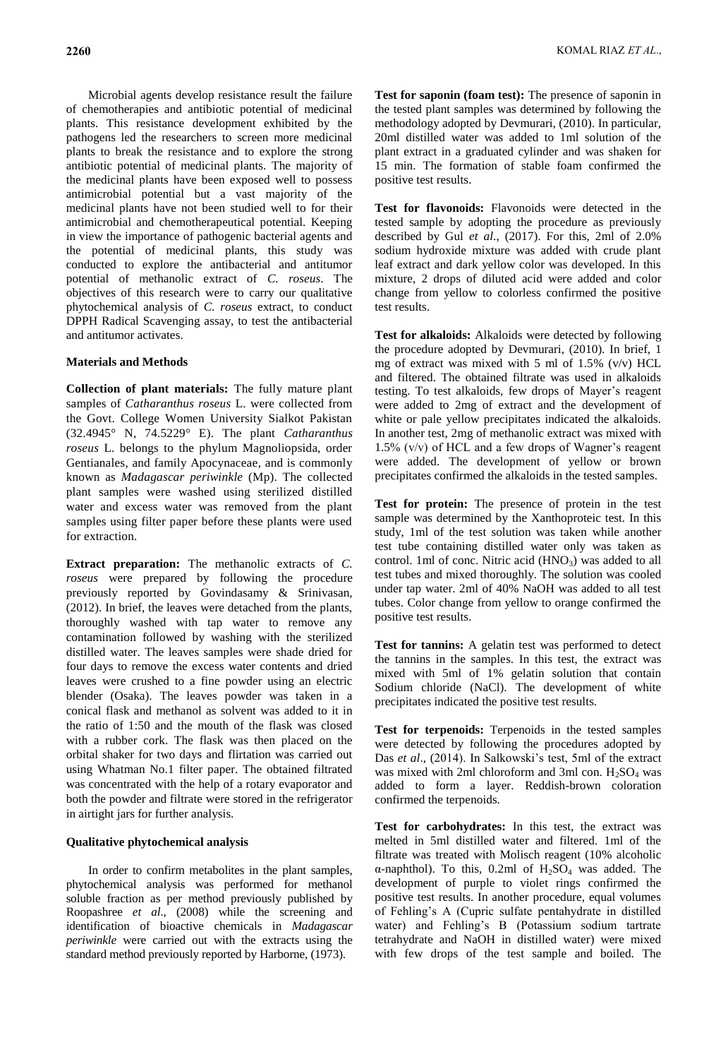Microbial agents develop resistance result the failure of chemotherapies and antibiotic potential of medicinal plants. This resistance development exhibited by the pathogens led the researchers to screen more medicinal plants to break the resistance and to explore the strong antibiotic potential of medicinal plants. The majority of the medicinal plants have been exposed well to possess antimicrobial potential but a vast majority of the medicinal plants have not been studied well to for their antimicrobial and chemotherapeutical potential. Keeping in view the importance of pathogenic bacterial agents and the potential of medicinal plants, this study was conducted to explore the antibacterial and antitumor potential of methanolic extract of *C. roseus*. The objectives of this research were to carry our qualitative phytochemical analysis of *C. roseus* extract, to conduct DPPH Radical Scavenging assay, to test the antibacterial and antitumor activates.

## **Materials and Methods**

**Collection of plant materials:** The fully mature plant samples of *Catharanthus roseus* L. were collected from the Govt. College Women University Sialkot Pakistan (32.4945° N, 74.5229° E). The plant *Catharanthus roseus* L. belongs to the phylum Magnoliopsida, order Gentianales, and family Apocynaceae, and is commonly known as *Madagascar periwinkle* (Mp). The collected plant samples were washed using sterilized distilled water and excess water was removed from the plant samples using filter paper before these plants were used for extraction.

**Extract preparation:** The methanolic extracts of *C. roseus* were prepared by following the procedure previously reported by Govindasamy & Srinivasan, (2012). In brief, the leaves were detached from the plants, thoroughly washed with tap water to remove any contamination followed by washing with the sterilized distilled water. The leaves samples were shade dried for four days to remove the excess water contents and dried leaves were crushed to a fine powder using an electric blender (Osaka). The leaves powder was taken in a conical flask and methanol as solvent was added to it in the ratio of 1:50 and the mouth of the flask was closed with a rubber cork. The flask was then placed on the orbital shaker for two days and flirtation was carried out using Whatman No.1 filter paper. The obtained filtrated was concentrated with the help of a rotary evaporator and both the powder and filtrate were stored in the refrigerator in airtight jars for further analysis.

## **Qualitative phytochemical analysis**

In order to confirm metabolites in the plant samples, phytochemical analysis was performed for methanol soluble fraction as per method previously published by Roopashree *et al*., (2008) while the screening and identification of bioactive chemicals in *Madagascar periwinkle* were carried out with the extracts using the standard method previously reported by Harborne, (1973).

**Test for saponin (foam test):** The presence of saponin in the tested plant samples was determined by following the methodology adopted by Devmurari, (2010). In particular, 20ml distilled water was added to 1ml solution of the plant extract in a graduated cylinder and was shaken for 15 min. The formation of stable foam confirmed the positive test results.

**Test for flavonoids:** Flavonoids were detected in the tested sample by adopting the procedure as previously described by Gul *et al*., (2017). For this, 2ml of 2.0% sodium hydroxide mixture was added with crude plant leaf extract and dark yellow color was developed. In this mixture, 2 drops of diluted acid were added and color change from yellow to colorless confirmed the positive test results.

**Test for alkaloids:** Alkaloids were detected by following the procedure adopted by Devmurari, (2010). In brief, 1 mg of extract was mixed with 5 ml of 1.5% (v/v) HCL and filtered. The obtained filtrate was used in alkaloids testing. To test alkaloids, few drops of Mayer's reagent were added to 2mg of extract and the development of white or pale yellow precipitates indicated the alkaloids. In another test, 2mg of methanolic extract was mixed with 1.5% (v/v) of HCL and a few drops of Wagner's reagent were added. The development of yellow or brown precipitates confirmed the alkaloids in the tested samples.

**Test for protein:** The presence of protein in the test sample was determined by the Xanthoproteic test. In this study, 1ml of the test solution was taken while another test tube containing distilled water only was taken as control. 1ml of conc. Nitric acid  $(HNO<sub>3</sub>)$  was added to all test tubes and mixed thoroughly. The solution was cooled under tap water. 2ml of 40% NaOH was added to all test tubes. Color change from yellow to orange confirmed the positive test results.

**Test for tannins:** A gelatin test was performed to detect the tannins in the samples. In this test, the extract was mixed with 5ml of 1% gelatin solution that contain Sodium chloride (NaCl). The development of white precipitates indicated the positive test results.

**Test for terpenoids:** Terpenoids in the tested samples were detected by following the procedures adopted by Das *et al*., (2014). In Salkowski's test, 5ml of the extract was mixed with 2ml chloroform and 3ml con.  $H_2SO_4$  was added to form a layer. Reddish-brown coloration confirmed the terpenoids.

**Test for carbohydrates:** In this test, the extract was melted in 5ml distilled water and filtered. 1ml of the filtrate was treated with Molisch reagent (10% alcoholic α-naphthol). To this,  $0.2$ ml of  $H<sub>2</sub>SO<sub>4</sub>$  was added. The development of purple to violet rings confirmed the positive test results. In another procedure, equal volumes of Fehling's A (Cupric sulfate pentahydrate in distilled water) and Fehling's B (Potassium sodium tartrate tetrahydrate and NaOH in distilled water) were mixed with few drops of the test sample and boiled. The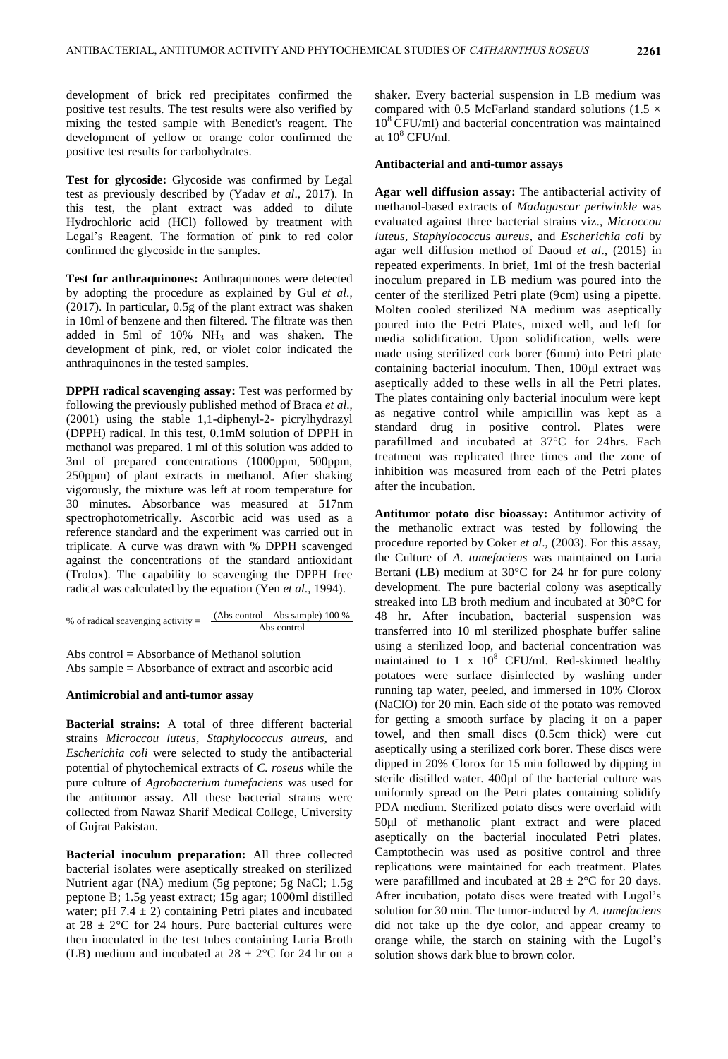development of brick red precipitates confirmed the positive test results. The test results were also verified by mixing the tested sample with Benedict's reagent. The development of yellow or orange color confirmed the positive test results for carbohydrates.

**Test for glycoside:** Glycoside was confirmed by Legal test as previously described by (Yadav *et al*., 2017). In this test, the plant extract was added to dilute Hydrochloric acid (HCl) followed by treatment with Legal's Reagent. The formation of pink to red color confirmed the glycoside in the samples.

**Test for anthraquinones:** Anthraquinones were detected by adopting the procedure as explained by Gul *et al*., (2017). In particular, 0.5g of the plant extract was shaken in 10ml of benzene and then filtered. The filtrate was then added in 5ml of 10%  $NH_3$  and was shaken. The development of pink, red, or violet color indicated the anthraquinones in the tested samples.

**DPPH radical scavenging assay:** Test was performed by following the previously published method of Braca *et al*., (2001) using the stable 1,1-diphenyl-2- picrylhydrazyl (DPPH) radical. In this test, 0.1mM solution of DPPH in methanol was prepared. 1 ml of this solution was added to 3ml of prepared concentrations (1000ppm, 500ppm, 250ppm) of plant extracts in methanol. After shaking vigorously, the mixture was left at room temperature for 30 minutes. Absorbance was measured at 517nm spectrophotometrically. Ascorbic acid was used as a reference standard and the experiment was carried out in triplicate. A curve was drawn with % DPPH scavenged against the concentrations of the standard antioxidant (Trolox). The capability to scavenging the DPPH free radical was calculated by the equation (Yen *et al*., 1994).

% of radical scavenging activity =  $\frac{(Abs\ control - Abs\ sample) 100 \%}{(Abs\ control - Abs\ sample)}$ Abs control

Abs control = Absorbance of Methanol solution Abs sample = Absorbance of extract and ascorbic acid

#### **Antimicrobial and anti-tumor assay**

**Bacterial strains:** A total of three different bacterial strains *Microccou luteus*, *Staphylococcus aureus,* and *Escherichia coli* were selected to study the antibacterial potential of phytochemical extracts of *C. roseus* while the pure culture of *Agrobacterium tumefaciens* was used for the antitumor assay. All these bacterial strains were collected from Nawaz Sharif Medical College, University of Gujrat Pakistan.

**Bacterial inoculum preparation:** All three collected bacterial isolates were aseptically streaked on sterilized Nutrient agar (NA) medium (5g peptone; 5g NaCl; 1.5g peptone B; 1.5g yeast extract; 15g agar; 1000ml distilled water; pH  $7.4 \pm 2$ ) containing Petri plates and incubated at  $28 \pm 2^{\circ}$ C for 24 hours. Pure bacterial cultures were then inoculated in the test tubes containing Luria Broth (LB) medium and incubated at  $28 \pm 2^{\circ}$ C for 24 hr on a shaker. Every bacterial suspension in LB medium was compared with 0.5 McFarland standard solutions (1.5  $\times$  $10<sup>8</sup> CFU/ml$ ) and bacterial concentration was maintained at  $10^8$  CFU/ml.

#### **Antibacterial and anti-tumor assays**

**Agar well diffusion assay:** The antibacterial activity of methanol-based extracts of *Madagascar periwinkle* was evaluated against three bacterial strains viz., *Microccou luteus*, *Staphylococcus aureus,* and *Escherichia coli* by agar well diffusion method of Daoud *et al*., (2015) in repeated experiments. In brief, 1ml of the fresh bacterial inoculum prepared in LB medium was poured into the center of the sterilized Petri plate (9cm) using a pipette. Molten cooled sterilized NA medium was aseptically poured into the Petri Plates, mixed well, and left for media solidification. Upon solidification, wells were made using sterilized cork borer (6mm) into Petri plate containing bacterial inoculum. Then, 100μl extract was aseptically added to these wells in all the Petri plates. The plates containing only bacterial inoculum were kept as negative control while ampicillin was kept as a standard drug in positive control. Plates were parafillmed and incubated at 37°C for 24hrs. Each treatment was replicated three times and the zone of inhibition was measured from each of the Petri plates after the incubation.

**Antitumor potato disc bioassay:** Antitumor activity of the methanolic extract was tested by following the procedure reported by Coker *et al*., (2003). For this assay, the Culture of *A. tumefaciens* was maintained on Luria Bertani (LB) medium at 30°C for 24 hr for pure colony development. The pure bacterial colony was aseptically streaked into LB broth medium and incubated at 30°C for 48 hr. After incubation, bacterial suspension was transferred into 10 ml sterilized phosphate buffer saline using a sterilized loop, and bacterial concentration was maintained to 1 x  $10^8$  CFU/ml. Red-skinned healthy potatoes were surface disinfected by washing under running tap water, peeled, and immersed in 10% Clorox (NaClO) for 20 min. Each side of the potato was removed for getting a smooth surface by placing it on a paper towel, and then small discs (0.5cm thick) were cut aseptically using a sterilized cork borer. These discs were dipped in 20% Clorox for 15 min followed by dipping in sterile distilled water. 400µl of the bacterial culture was uniformly spread on the Petri plates containing solidify PDA medium. Sterilized potato discs were overlaid with 50μl of methanolic plant extract and were placed aseptically on the bacterial inoculated Petri plates. Camptothecin was used as positive control and three replications were maintained for each treatment. Plates were parafillmed and incubated at  $28 \pm 2^{\circ}$ C for 20 days. After incubation, potato discs were treated with Lugol's solution for 30 min. The tumor-induced by *A. tumefaciens*  did not take up the dye color, and appear creamy to orange while, the starch on staining with the Lugol's solution shows dark blue to brown color.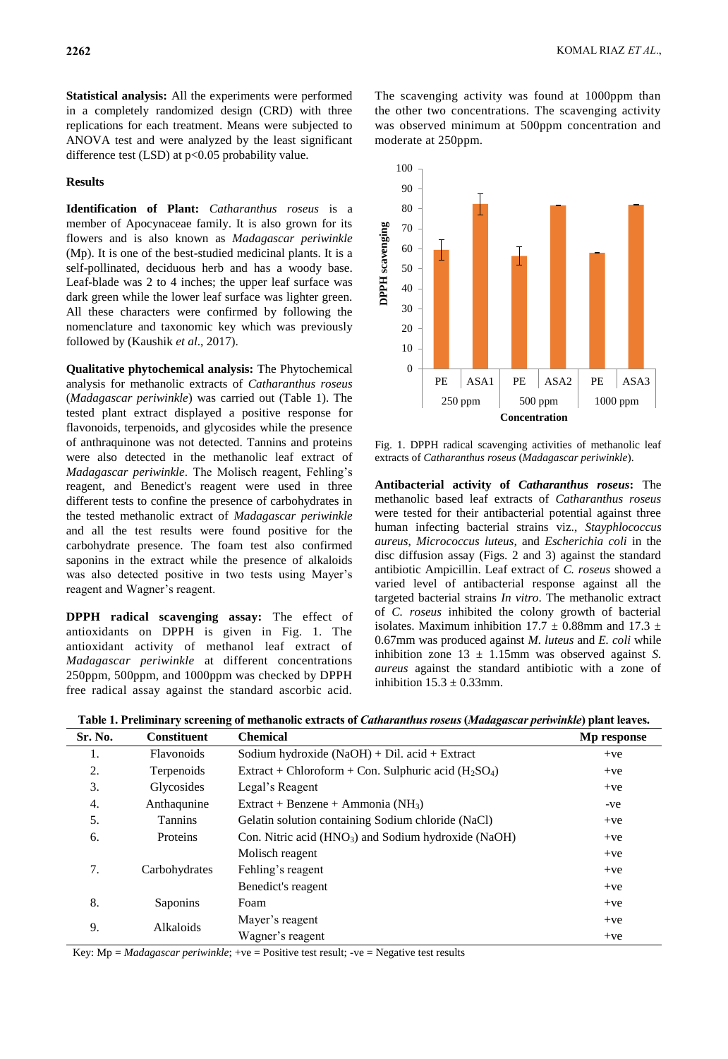**Statistical analysis:** All the experiments were performed in a completely randomized design (CRD) with three replications for each treatment. Means were subjected to ANOVA test and were analyzed by the least significant difference test  $(LSD)$  at  $p<0.05$  probability value.

## **Results**

**Identification of Plant:** *Catharanthus roseus* is a member of Apocynaceae family. It is also grown for its flowers and is also known as *Madagascar periwinkle* (Mp). It is one of the best-studied medicinal plants. It is a self-pollinated, deciduous herb and has a woody base. Leaf-blade was 2 to 4 inches; the upper leaf surface was dark green while the lower leaf surface was lighter green. All these characters were confirmed by following the nomenclature and taxonomic key which was previously followed by (Kaushik *et al*., 2017).

**Qualitative phytochemical analysis:** The Phytochemical analysis for methanolic extracts of *Catharanthus roseus* (*Madagascar periwinkle*) was carried out (Table 1). The tested plant extract displayed a positive response for flavonoids, terpenoids, and glycosides while the presence of anthraquinone was not detected. Tannins and proteins were also detected in the methanolic leaf extract of *Madagascar periwinkle*. The Molisch reagent, Fehling's reagent, and Benedict's reagent were used in three different tests to confine the presence of carbohydrates in the tested methanolic extract of *Madagascar periwinkle* and all the test results were found positive for the carbohydrate presence. The foam test also confirmed saponins in the extract while the presence of alkaloids was also detected positive in two tests using Mayer's reagent and Wagner's reagent.

**DPPH radical scavenging assay:** The effect of antioxidants on DPPH is given in Fig. 1. The antioxidant activity of methanol leaf extract of *Madagascar periwinkle* at different concentrations 250ppm, 500ppm, and 1000ppm was checked by DPPH free radical assay against the standard ascorbic acid.

The scavenging activity was found at 1000ppm than the other two concentrations. The scavenging activity was observed minimum at 500ppm concentration and moderate at 250ppm.



Fig. 1. DPPH radical scavenging activities of methanolic leaf extracts of *Catharanthus roseus* (*Madagascar periwinkle*).

**Antibacterial activity of** *Catharanthus roseus***:** The methanolic based leaf extracts of *Catharanthus roseus* were tested for their antibacterial potential against three human infecting bacterial strains viz., *Stayphlococcus aureus*, *Micrococcus luteus,* and *Escherichia coli* in the disc diffusion assay (Figs. 2 and 3) against the standard antibiotic Ampicillin. Leaf extract of *C. roseus* showed a varied level of antibacterial response against all the targeted bacterial strains *In vitro*. The methanolic extract of *C. roseus* inhibited the colony growth of bacterial isolates. Maximum inhibition 17.7  $\pm$  0.88mm and 17.3  $\pm$ 0.67mm was produced against *M. luteus* and *E. coli* while inhibition zone  $13 \pm 1.15$ mm was observed against *S*. *aureus* against the standard antibiotic with a zone of inhibition  $15.3 \pm 0.33$  mm.

| Sr. No. | <b>Constituent</b> | <b>Chemical</b>                                        | Mp response |
|---------|--------------------|--------------------------------------------------------|-------------|
| 1.      | <b>Flavonoids</b>  | Sodium hydroxide $(NaOH) + Dil$ . acid + Extract       | $+ve$       |
| 2.      | Terpenoids         | Extract + Chloroform + Con. Sulphuric acid $(H_2SO_4)$ | $+ve$       |
| 3.      | Glycosides         | Legal's Reagent                                        | $+ve$       |
| 4.      | Anthaqunine        | Extract + Benzene + Ammonia ( $NH_3$ )                 | -ve         |
| 5.      | <b>Tannins</b>     | Gelatin solution containing Sodium chloride (NaCl)     | $+ve$       |
| 6.      | Proteins           | Con. Nitric acid $(HNO_3)$ and Sodium hydroxide (NaOH) | $+ve$       |
| 7.      | Carbohydrates      | Molisch reagent                                        | $+ve$       |
|         |                    | Fehling's reagent                                      | $+ve$       |
|         |                    | Benedict's reagent                                     | $+ve$       |
| 8.      | Saponins           | Foam                                                   | $+ve$       |
| 9.      | Alkaloids          | Mayer's reagent                                        | $+ve$       |
|         |                    | Wagner's reagent                                       | $+ve$       |

**Table 1. Preliminary screening of methanolic extracts of** *Catharanthus roseus* **(***Madagascar periwinkle***) plant leaves.**

Key: Mp = *Madagascar periwinkle*; +ve = Positive test result; -ve = Negative test results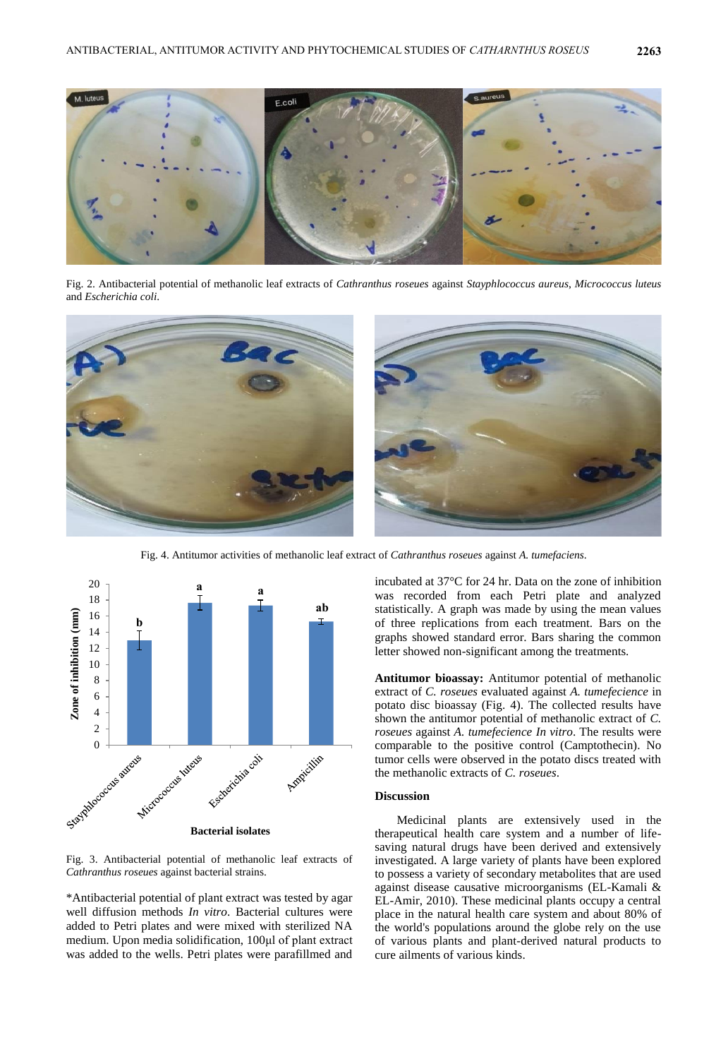

Fig. 2. Antibacterial potential of methanolic leaf extracts of *Cathranthus roseues* against *Stayphlococcus aureus*, *Micrococcus luteus* and *Escherichia coli*.



Fig. 4. Antitumor activities of methanolic leaf extract of *Cathranthus roseues* against *A. tumefaciens*.



Fig. 3. Antibacterial potential of methanolic leaf extracts of *Cathranthus roseues* against bacterial strains.

\*Antibacterial potential of plant extract was tested by agar well diffusion methods *In vitro*. Bacterial cultures were added to Petri plates and were mixed with sterilized NA medium. Upon media solidification, 100μl of plant extract was added to the wells. Petri plates were parafillmed and incubated at 37°C for 24 hr. Data on the zone of inhibition was recorded from each Petri plate and analyzed statistically. A graph was made by using the mean values of three replications from each treatment. Bars on the graphs showed standard error. Bars sharing the common letter showed non-significant among the treatments.

**Antitumor bioassay:** Antitumor potential of methanolic extract of *C. roseues* evaluated against *A. tumefecience* in potato disc bioassay (Fig. 4). The collected results have shown the antitumor potential of methanolic extract of *C. roseues* against *A. tumefecience In vitro*. The results were comparable to the positive control (Camptothecin). No tumor cells were observed in the potato discs treated with the methanolic extracts of *C. roseues*.

#### **Discussion**

Medicinal plants are extensively used in the therapeutical health care system and a number of lifesaving natural drugs have been derived and extensively investigated. A large variety of plants have been explored to possess a variety of secondary metabolites that are used against disease causative microorganisms (EL-Kamali & EL-Amir, 2010). These medicinal plants occupy a central place in the natural health care system and about 80% of the world's populations around the globe rely on the use of various plants and plant-derived natural products to cure ailments of various kinds.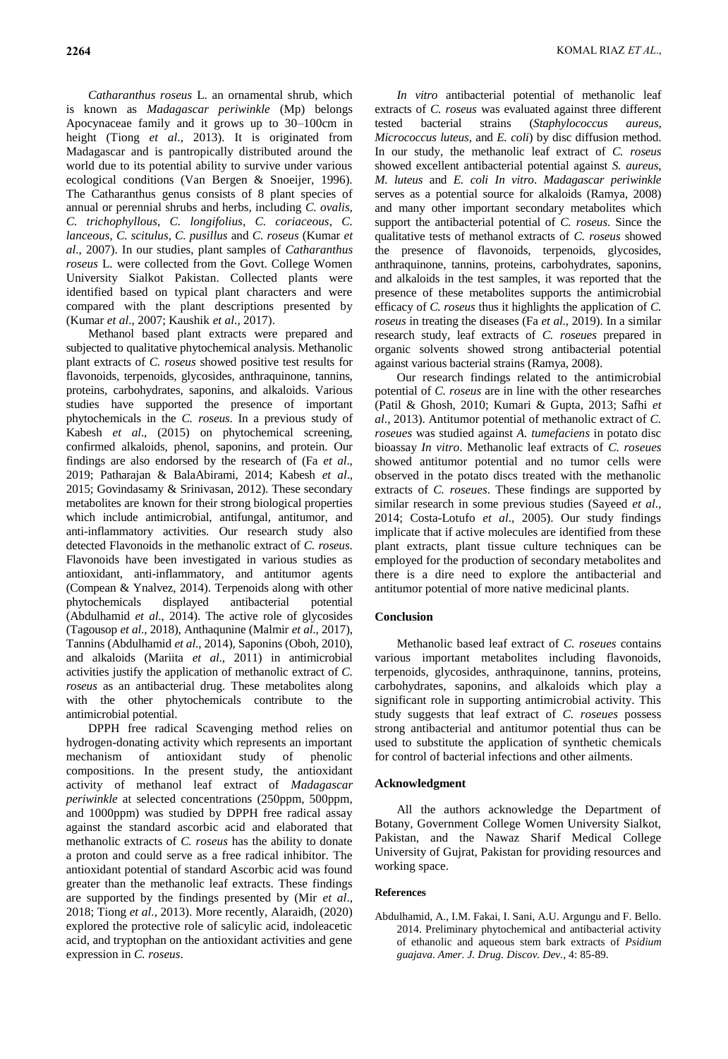*Catharanthus roseus* L. an ornamental shrub, which is known as *Madagascar periwinkle* (Mp) belongs Apocynaceae family and it grows up to 30–100cm in height (Tiong *et al*., 2013). It is originated from Madagascar and is pantropically distributed around the world due to its potential ability to survive under various ecological conditions (Van Bergen & Snoeijer, 1996). The Catharanthus genus consists of 8 plant species of annual or perennial shrubs and herbs, including *C. ovalis*, *C. trichophyllous*, *C. longifolius*, *C. coriaceous*, *C. lanceous*, *C. scitulus*, *C. pusillus* and *C. roseus* (Kumar *et al*., 2007). In our studies, plant samples of *Catharanthus roseus* L. were collected from the Govt. College Women University Sialkot Pakistan. Collected plants were identified based on typical plant characters and were compared with the plant descriptions presented by (Kumar *et al*., 2007; Kaushik *et al*., 2017).

Methanol based plant extracts were prepared and subjected to qualitative phytochemical analysis. Methanolic plant extracts of *C. roseus* showed positive test results for flavonoids, terpenoids, glycosides, anthraquinone, tannins, proteins, carbohydrates, saponins, and alkaloids. Various studies have supported the presence of important phytochemicals in the *C. roseus*. In a previous study of Kabesh *et al*., (2015) on phytochemical screening, confirmed alkaloids, phenol, saponins, and protein. Our findings are also endorsed by the research of (Fa *et al*., 2019; Patharajan & BalaAbirami, 2014; Kabesh *et al*., 2015; Govindasamy & Srinivasan, 2012). These secondary metabolites are known for their strong biological properties which include antimicrobial, antifungal, antitumor, and anti-inflammatory activities. Our research study also detected Flavonoids in the methanolic extract of *C. roseus*. Flavonoids have been investigated in various studies as antioxidant, anti-inflammatory, and antitumor agents (Compean & Ynalvez, 2014). Terpenoids along with other<br>phytochemicals displayed antibacterial potential phytochemicals displayed antibacterial potential (Abdulhamid *et al*., 2014). The active role of glycosides (Tagousop *et al*., 2018), Anthaqunine (Malmir *et al*., 2017), Tannins (Abdulhamid *et al*., 2014), Saponins (Oboh, 2010), and alkaloids (Mariita *et al*., 2011) in antimicrobial activities justify the application of methanolic extract of *C. roseus* as an antibacterial drug. These metabolites along with the other phytochemicals contribute to the antimicrobial potential.

DPPH free radical Scavenging method relies on hydrogen-donating activity which represents an important mechanism of antioxidant study of phenolic compositions. In the present study, the antioxidant activity of methanol leaf extract of *Madagascar periwinkle* at selected concentrations (250ppm, 500ppm, and 1000ppm) was studied by DPPH free radical assay against the standard ascorbic acid and elaborated that methanolic extracts of *C. roseus* has the ability to donate a proton and could serve as a free radical inhibitor. The antioxidant potential of standard Ascorbic acid was found greater than the methanolic leaf extracts. These findings are supported by the findings presented by (Mir *et al*., 2018; Tiong *et al*., 2013). More recently, Alaraidh, (2020) explored the protective role of salicylic acid, indoleacetic acid, and tryptophan on the antioxidant activities and gene expression in *C. roseus*.

*In vitro* antibacterial potential of methanolic leaf extracts of *C. roseus* was evaluated against three different tested bacterial strains (*Staphylococcus aureus*, *Micrococcus luteus,* and *E. coli*) by disc diffusion method. In our study, the methanolic leaf extract of *C. roseus*  showed excellent antibacterial potential against *S. aureus*, *M. luteus* and *E. coli In vitro*. *Madagascar periwinkle* serves as a potential source for alkaloids (Ramya, 2008) and many other important secondary metabolites which support the antibacterial potential of *C. roseus*. Since the qualitative tests of methanol extracts of *C. roseus* showed the presence of flavonoids, terpenoids, glycosides, anthraquinone, tannins, proteins, carbohydrates, saponins, and alkaloids in the test samples, it was reported that the presence of these metabolites supports the antimicrobial efficacy of *C. roseus* thus it highlights the application of *C. roseus* in treating the diseases (Fa *et al*., 2019). In a similar research study, leaf extracts of *C. roseues* prepared in organic solvents showed strong antibacterial potential against various bacterial strains (Ramya, 2008).

Our research findings related to the antimicrobial potential of *C. roseus* are in line with the other researches (Patil & Ghosh, 2010; Kumari & Gupta, 2013; Safhi *et al*., 2013). Antitumor potential of methanolic extract of *C. roseues* was studied against *A. tumefaciens* in potato disc bioassay *In vitro*. Methanolic leaf extracts of *C. roseues* showed antitumor potential and no tumor cells were observed in the potato discs treated with the methanolic extracts of *C. roseues*. These findings are supported by similar research in some previous studies (Sayeed *et al*., 2014; Costa-Lotufo *et al*., 2005). Our study findings implicate that if active molecules are identified from these plant extracts, plant tissue culture techniques can be employed for the production of secondary metabolites and there is a dire need to explore the antibacterial and antitumor potential of more native medicinal plants.

## **Conclusion**

Methanolic based leaf extract of *C. roseues* contains various important metabolites including flavonoids, terpenoids, glycosides, anthraquinone, tannins, proteins, carbohydrates, saponins, and alkaloids which play a significant role in supporting antimicrobial activity. This study suggests that leaf extract of *C. roseues* possess strong antibacterial and antitumor potential thus can be used to substitute the application of synthetic chemicals for control of bacterial infections and other ailments.

## **Acknowledgment**

All the authors acknowledge the Department of Botany, Government College Women University Sialkot, Pakistan, and the Nawaz Sharif Medical College University of Gujrat, Pakistan for providing resources and working space.

## **References**

Abdulhamid, A., I.M. Fakai, I. Sani, A.U. Argungu and F. Bello. 2014. Preliminary phytochemical and antibacterial activity of ethanolic and aqueous stem bark extracts of *Psidium guajava*. *Amer. J. Drug. Discov. Dev.*, 4: 85-89.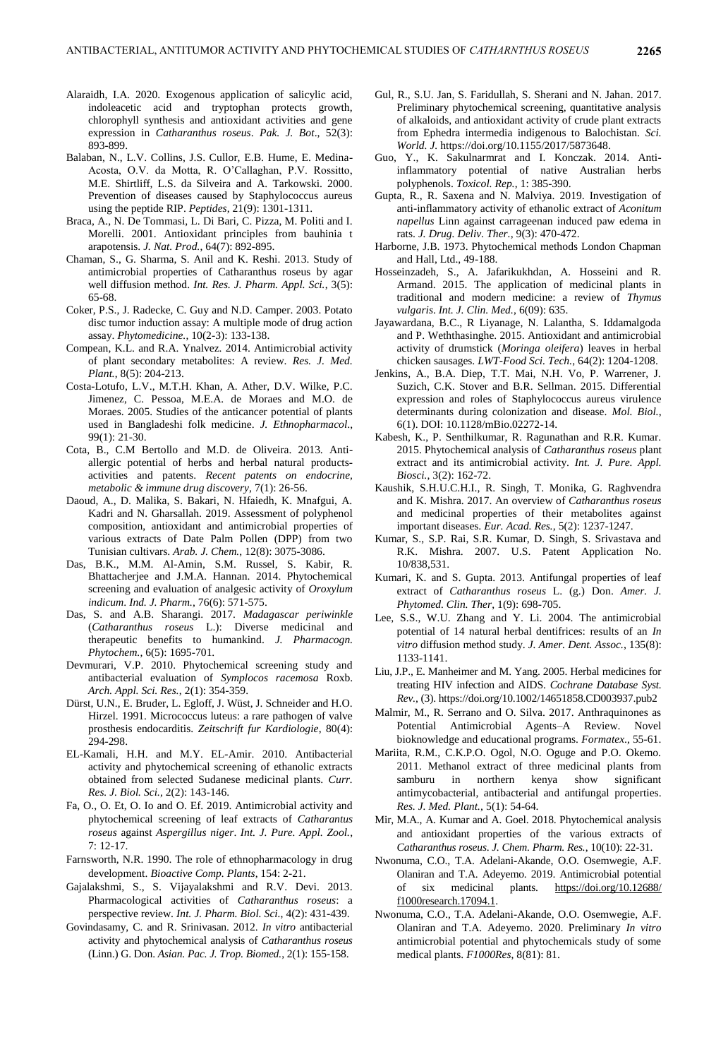- Alaraidh, I.A. 2020. Exogenous application of salicylic acid, indoleacetic acid and tryptophan protects growth, chlorophyll synthesis and antioxidant activities and gene expression in *Catharanthus roseus*. *Pak. J. Bot*., 52(3): 893-899.
- Balaban, N., L.V. Collins, J.S. Cullor, E.B. Hume, E. Medina-Acosta, O.V. da Motta, R. O'Callaghan, P.V. Rossitto, M.E. Shirtliff, L.S. da Silveira and A. Tarkowski. 2000. Prevention of diseases caused by Staphylococcus aureus using the peptide RIP. *Peptides*, 21(9): 1301-1311.
- Braca, A., N. De Tommasi, L. Di Bari, C. Pizza, M. Politi and I. Morelli. 2001. Antioxidant principles from bauhinia t arapotensis. *J. Nat. Prod.*, 64(7): 892-895.
- Chaman, S., G. Sharma, S. Anil and K. Reshi. 2013. Study of antimicrobial properties of Catharanthus roseus by agar well diffusion method. *Int. Res. J. Pharm. Appl. Sci.*, 3(5): 65-68.
- Coker, P.S., J. Radecke, C. Guy and N.D. Camper. 2003. Potato disc tumor induction assay: A multiple mode of drug action assay. *Phytomedicine.*, 10(2-3): 133-138.
- Compean, K.L. and R.A. Ynalvez. 2014. Antimicrobial activity of plant secondary metabolites: A review. *Res. J. Med. Plant.*, 8(5): 204-213.
- Costa-Lotufo, L.V., M.T.H. Khan, A. Ather, D.V. Wilke, P.C. Jimenez, C. Pessoa, M.E.A. de Moraes and M.O. de Moraes. 2005. Studies of the anticancer potential of plants used in Bangladeshi folk medicine. *J. Ethnopharmacol*., 99(1): 21-30.
- Cota, B., C.M Bertollo and M.D. de Oliveira. 2013. Antiallergic potential of herbs and herbal natural productsactivities and patents. *Recent patents on endocrine, metabolic & immune drug discovery*, 7(1): 26-56.
- Daoud, A., D. Malika, S. Bakari, N. Hfaiedh, K. Mnafgui, A. Kadri and N. Gharsallah. 2019. Assessment of polyphenol composition, antioxidant and antimicrobial properties of various extracts of Date Palm Pollen (DPP) from two Tunisian cultivars. *Arab. J. Chem.*, 12(8): 3075-3086.
- Das, B.K., M.M. Al-Amin, S.M. Russel, S. Kabir, R. Bhattacherjee and J.M.A. Hannan. 2014. Phytochemical screening and evaluation of analgesic activity of *Oroxylum indicum*. *Ind. J. Pharm.*, 76(6): 571-575.
- Das, S. and A.B. Sharangi. 2017. *Madagascar periwinkle* (*Catharanthus roseus* L.): Diverse medicinal and therapeutic benefits to humankind. *J. Pharmacogn. Phytochem.,* 6(5): 1695-701.
- Devmurari, V.P. 2010. Phytochemical screening study and antibacterial evaluation of *Symplocos racemosa* Roxb. *Arch. Appl. Sci. Res.*, 2(1): 354-359.
- Dürst, U.N., E. Bruder, L. Egloff, J. Wüst, J. Schneider and H.O. Hirzel. 1991. Micrococcus luteus: a rare pathogen of valve prosthesis endocarditis. *Zeitschrift fur Kardiologie*, 80(4): 294-298.
- EL-Kamali, H.H. and M.Y. EL-Amir. 2010. Antibacterial activity and phytochemical screening of ethanolic extracts obtained from selected Sudanese medicinal plants. *Curr. Res. J. Biol. Sci.*, 2(2): 143-146.
- Fa, O., O. Et, O. Io and O. Ef. 2019. Antimicrobial activity and phytochemical screening of leaf extracts of *Catharantus roseus* against *Aspergillus niger*. *Int. J. Pure. Appl. Zool.*, 7: 12-17.
- Farnsworth, N.R. 1990. The role of ethnopharmacology in drug development. *Bioactive Comp. Plants*, 154: 2-21.
- Gajalakshmi, S., S. Vijayalakshmi and R.V. Devi. 2013. Pharmacological activities of *Catharanthus roseus*: a perspective review. *Int. J. Pharm. Biol. Sci.*, 4(2): 431-439.
- Govindasamy, C. and R. Srinivasan. 2012. *In vitro* antibacterial activity and phytochemical analysis of *Catharanthus roseus* (Linn.) G. Don. *Asian. Pac. J. Trop. Biomed.*, 2(1): 155-158.
- Gul, R., S.U. Jan, S. Faridullah, S. Sherani and N. Jahan. 2017. Preliminary phytochemical screening, quantitative analysis of alkaloids, and antioxidant activity of crude plant extracts from Ephedra intermedia indigenous to Balochistan. *Sci. World. J.* https://doi.org/10.1155/2017/5873648.
- Guo, Y., K. Sakulnarmrat and I. Konczak. 2014. Antiinflammatory potential of native Australian herbs polyphenols. *Toxicol. Rep.*, 1: 385-390.
- Gupta, R., R. Saxena and N. Malviya. 2019. Investigation of anti-inflammatory activity of ethanolic extract of *Aconitum napellus* Linn against carrageenan induced paw edema in rats. *J. Drug. Deliv. Ther.*, 9(3): 470-472.
- Harborne, J.B. 1973. Phytochemical methods London Chapman and Hall, Ltd., 49-188.
- Hosseinzadeh, S., A. Jafarikukhdan, A. Hosseini and R. Armand. 2015. The application of medicinal plants in traditional and modern medicine: a review of *Thymus vulgaris*. *Int. J. Clin. Med.*, 6(09): 635.
- Jayawardana, B.C., R Liyanage, N. Lalantha, S. Iddamalgoda and P. Weththasinghe. 2015. Antioxidant and antimicrobial activity of drumstick (*Moringa oleifera*) leaves in herbal chicken sausages. *LWT-Food Sci. Tech.*, 64(2): 1204-1208.
- Jenkins, A., B.A. Diep, T.T. Mai, N.H. Vo, P. Warrener, J. Suzich, C.K. Stover and B.R. Sellman. 2015. Differential expression and roles of Staphylococcus aureus virulence determinants during colonization and disease. *Mol. Biol.*, 6(1). DOI: 10.1128/mBio.02272-14.
- Kabesh, K., P. Senthilkumar, R. Ragunathan and R.R. Kumar. 2015. Phytochemical analysis of *Catharanthus roseus* plant extract and its antimicrobial activity. *Int. J. Pure. Appl. Biosci.*, 3(2): 162-72.
- Kaushik, S.H.U.C.H.I., R. Singh, T. Monika, G. Raghvendra and K. Mishra. 2017. An overview of *Catharanthus roseus* and medicinal properties of their metabolites against important diseases. *Eur. Acad. Res.*, 5(2): 1237-1247.
- Kumar, S., S.P. Rai, S.R. Kumar, D. Singh, S. Srivastava and R.K. Mishra. 2007. U.S. Patent Application No. 10/838,531.
- Kumari, K. and S. Gupta. 2013. Antifungal properties of leaf extract of *Catharanthus roseus* L. (g.) Don. *Amer. J. Phytomed. Clin. Ther*, 1(9): 698-705.
- Lee, S.S., W.U. Zhang and Y. Li. 2004. The antimicrobial potential of 14 natural herbal dentifrices: results of an *In vitro* diffusion method study. *J. Amer. Dent. Assoc.*, 135(8): 1133-1141.
- Liu, J.P., E. Manheimer and M. Yang. 2005. Herbal medicines for treating HIV infection and AIDS. *Cochrane Database Syst. Rev.*, (3). https://doi.org/10.1002/14651858.CD003937.pub2
- Malmir, M., R. Serrano and O. Silva. 2017. Anthraquinones as Potential Antimicrobial Agents–A Review. Novel bioknowledge and educational programs. *Formatex*., 55-61.
- Mariita, R.M., C.K.P.O. Ogol, N.O. Oguge and P.O. Okemo. 2011. Methanol extract of three medicinal plants from samburu in northern kenya show significant antimycobacterial, antibacterial and antifungal properties. *Res. J. Med. Plant.*, 5(1): 54-64.
- Mir, M.A., A. Kumar and A. Goel. 2018. Phytochemical analysis and antioxidant properties of the various extracts of *Catharanthus roseus*. *J. Chem. Pharm. Res.*, 10(10): 22-31.
- Nwonuma, C.O., T.A. Adelani-Akande, O.O. Osemwegie, A.F. Olaniran and T.A. Adeyemo. 2019. Antimicrobial potential of six medicinal plants. [https://doi.org/10.12688/](https://doi.org/10.12688/%20f1000research.17094.1)  [f1000research.17094.1.](https://doi.org/10.12688/%20f1000research.17094.1)
- Nwonuma, C.O., T.A. Adelani-Akande, O.O. Osemwegie, A.F. Olaniran and T.A. Adeyemo. 2020. Preliminary *In vitro* antimicrobial potential and phytochemicals study of some medical plants. *F1000Res*, 8(81): 81.